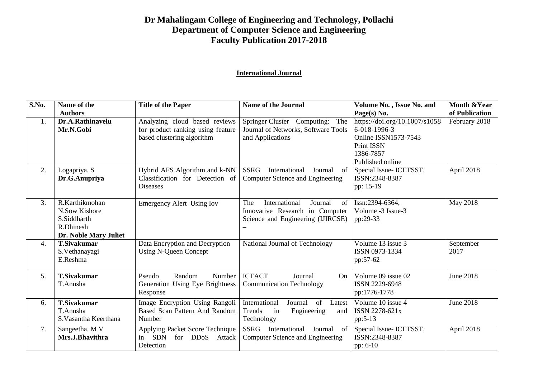## **Dr Mahalingam College of Engineering and Technology, Pollachi Department of Computer Science and Engineering Faculty Publication 2017-2018**

## **International Journal**

| S.No.            | Name of the           | <b>Title of the Paper</b>                   | <b>Name of the Journal</b>                    | Volume No., Issue No. and            | <b>Month &amp; Year</b> |
|------------------|-----------------------|---------------------------------------------|-----------------------------------------------|--------------------------------------|-------------------------|
|                  | <b>Authors</b>        |                                             |                                               | Page(s) No.                          | of Publication          |
| 1.               | Dr.A.Rathinavelu      | Analyzing cloud based reviews               | Springer Cluster Computing:<br>The            | https://doi.org/10.1007/s1058        | February 2018           |
|                  | Mr.N.Gobi             | for product ranking using feature           | Journal of Networks, Software Tools           | 6-018-1996-3                         |                         |
|                  |                       | based clustering algorithm                  | and Applications                              | <b>Online ISSN1573-7543</b>          |                         |
|                  |                       |                                             |                                               | <b>Print ISSN</b>                    |                         |
|                  |                       |                                             |                                               | 1386-7857                            |                         |
|                  |                       |                                             |                                               | Published online                     |                         |
| 2.               | Logapriya. S          | Hybrid AFS Algorithm and k-NN               | <b>SSRG</b><br>International<br>Journal<br>of | Special Issue- ICETSST,              | April 2018              |
|                  | Dr.G.Anupriya         | Classification for Detection of             | Computer Science and Engineering              | ISSN:2348-8387                       |                         |
|                  |                       | <b>Diseases</b>                             |                                               | pp: 15-19                            |                         |
| 3.               | R.Karthikmohan        | <b>Emergency Alert Using Iov</b>            | The<br>International<br>Journal<br>of         | Issn:2394-6364.                      | <b>May 2018</b>         |
|                  | N.Sow Kishore         |                                             | Innovative Research in Computer               | Volume -3 Issue-3                    |                         |
|                  | S.Siddharth           |                                             | Science and Engineering (IJIRCSE)             | pp:29-33                             |                         |
|                  | R.Dhinesh             |                                             |                                               |                                      |                         |
|                  | Dr. Noble Mary Juliet |                                             |                                               |                                      |                         |
| $\overline{4}$ . | <b>T.Sivakumar</b>    | Data Encryption and Decryption              | National Journal of Technology                | Volume 13 issue 3                    | September               |
|                  | S.Vethanayagi         | <b>Using N-Queen Concept</b>                |                                               | ISSN 0973-1334                       | 2017                    |
|                  | E.Reshma              |                                             |                                               | pp:57-62                             |                         |
|                  |                       |                                             |                                               |                                      |                         |
| 5.               | <b>T.Sivakumar</b>    | Random<br>Number<br>Pseudo                  | <b>ICTACT</b><br>Journal<br>On                | Volume 09 issue 02<br>ISSN 2229-6948 | <b>June 2018</b>        |
|                  | T.Anusha              | Generation Using Eye Brightness<br>Response | <b>Communication Technology</b>               | pp:1776-1778                         |                         |
|                  |                       |                                             |                                               |                                      |                         |
| 6.               | <b>T.Sivakumar</b>    | Image Encryption Using Rangoli              | International<br>of<br>Journal<br>Latest      | Volume 10 issue 4                    | <b>June 2018</b>        |
|                  | T.Anusha              | <b>Based Scan Pattern And Random</b>        | Trends<br>in<br>Engineering<br>and            | ISSN 2278-621x                       |                         |
|                  | S. Vasantha Keerthana | Number                                      | Technology                                    | pp:5-13                              |                         |
| 7.               | Sangeetha. M V        | Applying Packet Score Technique             | SSRG<br>International<br>Journal<br>of        | Special Issue- ICETSST,              | April 2018              |
|                  | Mrs.J.Bhavithra       | <b>SDN</b><br>for DDoS<br>Attack<br>in      | Computer Science and Engineering              | ISSN:2348-8387                       |                         |
|                  |                       | Detection                                   |                                               | pp: 6-10                             |                         |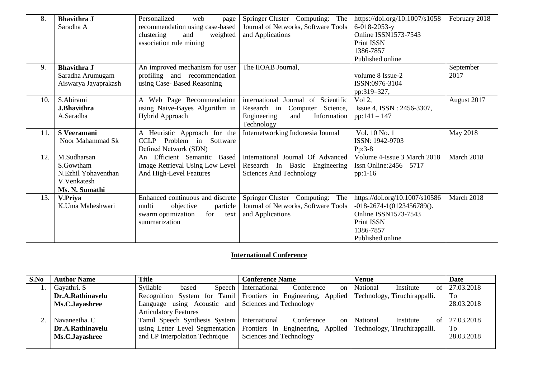| 8.  | <b>Bhavithra J</b><br>Saradha A                                                  | Personalized<br>web<br>page<br>recommendation using case-based<br>clustering<br>weighted<br>and<br>association rule mining | Springer Cluster Computing:<br>The<br>Journal of Networks, Software Tools<br>and Applications                              | https://doi.org/10.1007/s1058<br>$6 - 018 - 2053 - y$<br><b>Online ISSN1573-7543</b><br><b>Print ISSN</b><br>1386-7857<br>Published online      | February 2018     |
|-----|----------------------------------------------------------------------------------|----------------------------------------------------------------------------------------------------------------------------|----------------------------------------------------------------------------------------------------------------------------|-------------------------------------------------------------------------------------------------------------------------------------------------|-------------------|
| 9.  | <b>Bhavithra J</b><br>Saradha Arumugam<br>Aiswarya Jayaprakash                   | An improved mechanism for user<br>profiling and recommendation<br>using Case-Based Reasoning                               | The IIOAB Journal,                                                                                                         | volume 8 Issue-2<br>ISSN:0976-3104<br>pp:319-327,                                                                                               | September<br>2017 |
| 10. | S.Abirami<br><b>J.Bhavithra</b><br>A.Saradha                                     | A Web Page Recommendation<br>using Naive-Bayes Algorithm in<br>Hybrid Approach                                             | international Journal of Scientific<br>Computer Science,<br>Research in<br>Engineering<br>Information<br>and<br>Technology | Vol $2$ ,<br>Issue 4, ISSN : 2456-3307,<br>$pp:141-147$                                                                                         | August 2017       |
| 11. | <b>S</b> Veeramani<br>Noor Mahammad Sk                                           | A Heuristic Approach for the<br>Problem in Software<br><b>CCLP</b><br>Defined Network (SDN)                                | Internetworking Indonesia Journal                                                                                          | Vol. 10 No. 1<br>ISSN: 1942-9703<br>$Pp:3-8$                                                                                                    | <b>May 2018</b>   |
| 12. | M.Sudharsan<br>S.Gowtham<br>N.Ezhil Yohaventhan<br>V.Venkatesh<br>Ms. N. Sumathi | Efficient Semantic<br><b>Based</b><br>An<br>Image Retrieval Using Low Level<br>And High-Level Features                     | International Journal Of Advanced<br>Research In Basic Engineering<br><b>Sciences And Technology</b>                       | Volume 4-Issue 3 March 2018<br>Issn Online: $2456 - 5717$<br>$pp:1-16$                                                                          | March 2018        |
| 13. | V.Priya<br>K.Uma Maheshwari                                                      | Enhanced continuous and discrete<br>multi<br>objective<br>particle<br>swarm optimization<br>for<br>text<br>summarization   | <b>Springer Cluster</b><br>Computing:<br>The<br>Journal of Networks, Software Tools<br>and Applications                    | https://doi.org/10.1007/s10586<br>$-018 - 2674 - 1(0123456789)$ .<br>Online ISSN1573-7543<br><b>Print ISSN</b><br>1386-7857<br>Published online | March 2018        |

## **International Conference**

| S.No | <b>Author Name</b> | <b>Title</b>                                        | <b>Conference Name</b>                                              | Venue                        | Date       |
|------|--------------------|-----------------------------------------------------|---------------------------------------------------------------------|------------------------------|------------|
|      | Gayathri. S        | Syllable<br>based                                   | Conference<br>Speech   International<br>on                          | National<br>Institute<br>ot  | 27.03.2018 |
|      | Dr.A.Rathinavelu   |                                                     | Recognition System for Tamil Frontiers in Engineering, Applied      | Technology, Tiruchirappalli. | To         |
|      | Ms.C.Jayashree     | Language using Acoustic and Sciences and Technology |                                                                     |                              | 28.03.2018 |
|      |                    | <b>Articulatory Features</b>                        |                                                                     |                              |            |
|      | Navaneetha. C      | Tamil Speech Synthesis System   International       | Conference<br>on                                                    | National<br>Institute<br>0t  | 27.03.2018 |
|      | Dr.A.Rathinavelu   |                                                     | using Letter Level Segmentation   Frontiers in Engineering, Applied | Technology, Tiruchirappalli. | To         |
|      | Ms.C.Jayashree     | and LP Interpolation Technique                      | Sciences and Technology                                             |                              | 28.03.2018 |
|      |                    |                                                     |                                                                     |                              |            |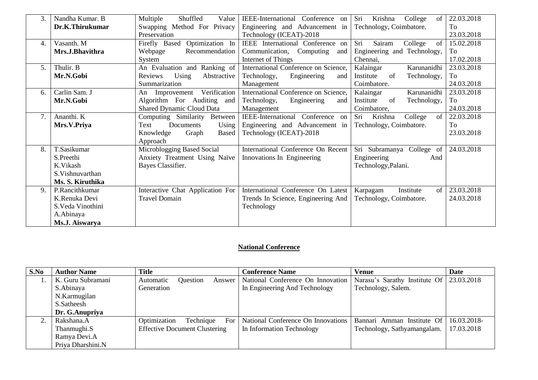| 3. | Nandha Kumar. B   | Multiple<br>Shuffled<br>Value    | <b>IEEE-International</b><br>Conference on    | Sri<br>Krishna<br>College<br>of | 22.03.2018 |
|----|-------------------|----------------------------------|-----------------------------------------------|---------------------------------|------------|
|    | Dr.K.Thirukumar   | Swapping Method For Privacy      | Engineering and Advancement in                | Technology, Coimbatore.         | To         |
|    |                   | Preservation                     | Technology (ICEAT)-2018                       |                                 | 23.03.2018 |
| 4. | Vasanth. M        | Optimization In<br>Firefly Based | IEEE International Conference on              | Sairam<br>Sri<br>College<br>of  | 15.02.2018 |
|    | Mrs.J.Bhavithra   | Webpage<br>Recommendation        | Communication,<br>Computing<br>and            | Engineering and Technology,     | To         |
|    |                   | System                           | Internet of Things                            | Chennai,                        | 17.02.2018 |
| 5. | Thulir. B         | An Evaluation and Ranking of     | International Conference on Science,          | Kalaingar<br>Karunanidhi        | 23.03.2018 |
|    | Mr.N.Gobi         | Using<br>Abstractive<br>Reviews  | Engineering<br>Technology,<br>and             | Institute<br>of<br>Technology,  | To         |
|    |                   | Summarization                    | Management                                    | Coimbatore.                     | 24.03.2018 |
| 6. | Carlin Sam. J     | Verification<br>An Improvement   | International Conference on Science,          | Kalaingar<br>Karunanidhi        | 23.03.2018 |
|    | Mr.N.Gobi         | Algorithm For Auditing<br>and    | Technology,<br>Engineering<br>and             | Institute<br>of<br>Technology,  | To         |
|    |                   | <b>Shared Dynamic Cloud Data</b> | Management                                    | Coimbatore,                     | 24.03.2018 |
| 7. | Ananthi. K        | Computing Similarity<br>Between  | <b>IEEE-International</b><br>Conference<br>on | Sri<br>Krishna<br>College<br>of | 22.03.2018 |
|    | Mrs.V.Priya       | Documents<br>Text<br>Using       | Engineering and Advancement in                | Technology, Coimbatore.         | To         |
|    |                   | Knowledge<br>Graph<br>Based      | Technology (ICEAT)-2018                       |                                 | 23.03.2018 |
|    |                   | Approach                         |                                               |                                 |            |
| 8. | T.Sasikumar       | Microblogging Based Social       | International Conference On Recent            | Sri Subramanya College of       | 24.03.2018 |
|    | S.Preethi         | Anxiety Treatment Using Naïve    | Innovations In Engineering                    | Engineering<br>And              |            |
|    | K.Vikash          | Bayes Classifier.                |                                               | Technology, Palani.             |            |
|    | S. Vishnuvarthan  |                                  |                                               |                                 |            |
|    | Ms. S. Kiruthika  |                                  |                                               |                                 |            |
| 9. | P.Rancithkumar    | Interactive Chat Application For | International Conference On Latest            | Institute<br>of<br>Karpagam     | 23.03.2018 |
|    | K.Renuka Devi     | <b>Travel Domain</b>             | Trends In Science, Engineering And            | Technology, Coimbatore.         | 24.03.2018 |
|    | S. Veda Vinothini |                                  | Technology                                    |                                 |            |
|    | A.Abinaya         |                                  |                                               |                                 |            |
|    | Ms.J. Aiswarya    |                                  |                                               |                                 |            |

## **National Conference**

| S.No | <b>Author Name</b> | <b>Title</b>                         | <b>Conference Name</b>             | <b>Venue</b>                  | Date        |
|------|--------------------|--------------------------------------|------------------------------------|-------------------------------|-------------|
|      | K. Guru Subramani  | Question<br>Automatic<br>Answer      | National Conference On Innovation  | Narasu's Sarathy Institute Of | 23.03.2018  |
|      | S.Abinaya          | Generation                           | In Engineering And Technology      | Technology, Salem.            |             |
|      | N.Karmugilan       |                                      |                                    |                               |             |
|      | S.Satheesh         |                                      |                                    |                               |             |
|      | Dr. G.Anupriya     |                                      |                                    |                               |             |
|      | Rakshana.A         | For<br>Optimization<br>Technique     | National Conference On Innovations | Bannari Amman Institute Of    | 16.03.2018- |
|      | Thanmughi.S        | <b>Effective Document Clustering</b> | In Information Technology          | Technology, Sathyamangalam.   | 17.03.2018  |
|      | Ramya Devi.A       |                                      |                                    |                               |             |
|      | Priya Dharshini.N  |                                      |                                    |                               |             |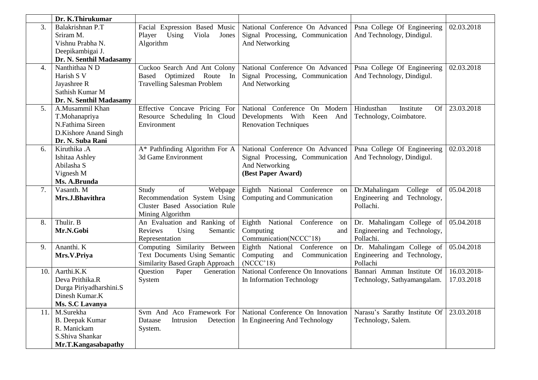|     | Dr. K.Thirukumar        |                                    |                                        |                                          |             |
|-----|-------------------------|------------------------------------|----------------------------------------|------------------------------------------|-------------|
| 3.  | Balakrishnan P.T        | Facial Expression Based Music      | National Conference On Advanced        | Psna College Of Engineering              | 02.03.2018  |
|     | Sriram M.               | Player<br>Using<br>Viola<br>Jones  | Signal Processing, Communication       | And Technology, Dindigul.                |             |
|     | Vishnu Prabha N.        | Algorithm                          | And Networking                         |                                          |             |
|     | Deepikambigai J.        |                                    |                                        |                                          |             |
|     | Dr. N. Senthil Madasamy |                                    |                                        |                                          |             |
| 4.  | Nanthithaa N D          | Cuckoo Search And Ant Colony       | National Conference On Advanced        | Psna College Of Engineering              | 02.03.2018  |
|     | Harish S V              | Optimized<br>Based<br>Route In     | Signal Processing, Communication       | And Technology, Dindigul.                |             |
|     | Jayashree R             | <b>Travelling Salesman Problem</b> | And Networking                         |                                          |             |
|     | Sathish Kumar M         |                                    |                                        |                                          |             |
|     | Dr. N. Senthil Madasamy |                                    |                                        |                                          |             |
| 5.  | A.Musammil Khan         | Effective Concave Pricing For      | National Conference<br>On Modern       | Hindusthan<br>Institute<br>Of            | 23.03.2018  |
|     | T.Mohanapriya           | Resource Scheduling In Cloud       | Developments With Keen And             | Technology, Coimbatore.                  |             |
|     | N.Fathima Sireen        | Environment                        | <b>Renovation Techniques</b>           |                                          |             |
|     | D.Kishore Anand Singh   |                                    |                                        |                                          |             |
|     | Dr. N. Suba Rani        |                                    |                                        |                                          |             |
| 6.  | Kiruthika .A            | A* Pathfinding Algorithm For A     | National Conference On Advanced        | Psna College Of Engineering              | 02.03.2018  |
|     | Ishitaa Ashley          | 3d Game Environment                | Signal Processing, Communication       | And Technology, Dindigul.                |             |
|     | Abilasha S              |                                    | And Networking                         |                                          |             |
|     | Vignesh M               |                                    | (Best Paper Award)                     |                                          |             |
|     | Ms. A.Brunda            |                                    |                                        |                                          |             |
| 7.  | Vasanth. M              | of<br>Study<br>Webpage             | Eighth National Conference<br>on       | College<br>Dr.Mahalingam<br>of           | 05.04.2018  |
|     | Mrs.J.Bhavithra         | Recommendation System Using        | Computing and Communication            | Engineering and Technology,              |             |
|     |                         | Cluster Based Association Rule     |                                        | Pollachi.                                |             |
|     |                         | Mining Algorithm                   |                                        |                                          |             |
| 8.  | Thulir. B               | An Evaluation and Ranking of       | Eighth<br>National<br>Conference<br>on | Dr. Mahalingam College of                | 05.04.2018  |
|     | Mr.N.Gobi               | Semantic<br>Reviews<br>Using       | Computing<br>and                       | Engineering and Technology,              |             |
|     |                         | Representation                     | Communication(NCCC'18)                 | Pollachi.                                |             |
| 9.  | Ananthi. K              | Computing Similarity Between       | Eighth National<br>Conference on       | Dr. Mahalingam College of                | 05.04.2018  |
|     | Mrs.V.Priya             | Text Documents Using Semantic      | Computing<br>Communication<br>and      | Engineering and Technology,              |             |
|     |                         | Similarity Based Graph Approach    | (NCCC'18)                              | Pollachi                                 |             |
| 10. | Aarthi.K.K              | Question<br>Paper<br>Generation    | National Conference On Innovations     | Bannari Amman Institute Of               | 16.03.2018- |
|     | Deva Prithika.R         | System                             | In Information Technology              | Technology, Sathyamangalam.              | 17.03.2018  |
|     | Durga Piriyadharshini.S |                                    |                                        |                                          |             |
|     | Dinesh Kumar.K          |                                    |                                        |                                          |             |
|     | Ms. S.C Lavanya         |                                    |                                        |                                          |             |
| 11. | M.Surekha               | Svm And Aco Framework For          | National Conference On Innovation      | Narasu's Sarathy Institute Of 23.03.2018 |             |
|     | <b>B.</b> Deepak Kumar  | Intrusion<br>Detection<br>Dataase  | In Engineering And Technology          | Technology, Salem.                       |             |
|     | R. Manickam             | System.                            |                                        |                                          |             |
|     | S.Shiva Shankar         |                                    |                                        |                                          |             |
|     | Mr.T.Kangasabapathy     |                                    |                                        |                                          |             |